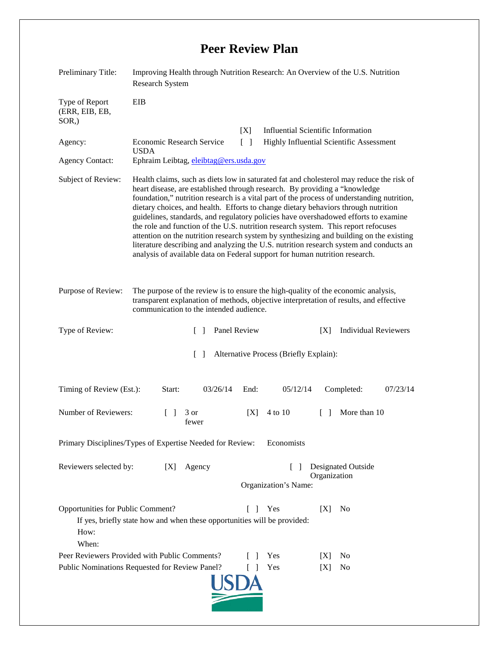## **Peer Review Plan**

| Preliminary Title:                                                                                                                                                 | Improving Health through Nutrition Research: An Overview of the U.S. Nutrition<br>Research System                                                                                                                                                                                                                                                                                                                                                                                                                                                                                                                                                                                                                                                                                                           |      |                                                                                   |        |                             |  |
|--------------------------------------------------------------------------------------------------------------------------------------------------------------------|-------------------------------------------------------------------------------------------------------------------------------------------------------------------------------------------------------------------------------------------------------------------------------------------------------------------------------------------------------------------------------------------------------------------------------------------------------------------------------------------------------------------------------------------------------------------------------------------------------------------------------------------------------------------------------------------------------------------------------------------------------------------------------------------------------------|------|-----------------------------------------------------------------------------------|--------|-----------------------------|--|
| Type of Report<br>(ERR, EIB, EB,<br>SOR <sub>.</sub> )                                                                                                             | EIB                                                                                                                                                                                                                                                                                                                                                                                                                                                                                                                                                                                                                                                                                                                                                                                                         |      |                                                                                   |        |                             |  |
|                                                                                                                                                                    |                                                                                                                                                                                                                                                                                                                                                                                                                                                                                                                                                                                                                                                                                                                                                                                                             | [X]  | <b>Influential Scientific Information</b>                                         |        |                             |  |
| Agency:                                                                                                                                                            | <b>Economic Research Service</b><br>Highly Influential Scientific Assessment<br>$\Box$<br><b>USDA</b>                                                                                                                                                                                                                                                                                                                                                                                                                                                                                                                                                                                                                                                                                                       |      |                                                                                   |        |                             |  |
| <b>Agency Contact:</b>                                                                                                                                             | Ephraim Leibtag, eleibtag@ers.usda.gov                                                                                                                                                                                                                                                                                                                                                                                                                                                                                                                                                                                                                                                                                                                                                                      |      |                                                                                   |        |                             |  |
| Subject of Review:                                                                                                                                                 | Health claims, such as diets low in saturated fat and cholesterol may reduce the risk of<br>heart disease, are established through research. By providing a "knowledge<br>foundation," nutrition research is a vital part of the process of understanding nutrition,<br>dietary choices, and health. Efforts to change dietary behaviors through nutrition<br>guidelines, standards, and regulatory policies have overshadowed efforts to examine<br>the role and function of the U.S. nutrition research system. This report refocuses<br>attention on the nutrition research system by synthesizing and building on the existing<br>literature describing and analyzing the U.S. nutrition research system and conducts an<br>analysis of available data on Federal support for human nutrition research. |      |                                                                                   |        |                             |  |
| Purpose of Review:                                                                                                                                                 | The purpose of the review is to ensure the high-quality of the economic analysis,<br>transparent explanation of methods, objective interpretation of results, and effective<br>communication to the intended audience.                                                                                                                                                                                                                                                                                                                                                                                                                                                                                                                                                                                      |      |                                                                                   |        |                             |  |
| Type of Review:                                                                                                                                                    | Panel Review<br>I I                                                                                                                                                                                                                                                                                                                                                                                                                                                                                                                                                                                                                                                                                                                                                                                         |      |                                                                                   | [X]    | <b>Individual Reviewers</b> |  |
| Alternative Process (Briefly Explain):<br>$\Box$                                                                                                                   |                                                                                                                                                                                                                                                                                                                                                                                                                                                                                                                                                                                                                                                                                                                                                                                                             |      |                                                                                   |        |                             |  |
| Timing of Review (Est.):                                                                                                                                           | 03/26/14<br>Start:                                                                                                                                                                                                                                                                                                                                                                                                                                                                                                                                                                                                                                                                                                                                                                                          | End: | 05/12/14                                                                          |        | Completed:<br>07/23/14      |  |
| Number of Reviewers:                                                                                                                                               | 3 or<br>fewer                                                                                                                                                                                                                                                                                                                                                                                                                                                                                                                                                                                                                                                                                                                                                                                               | [X]  | 4 to 10                                                                           | $\Box$ | More than 10                |  |
| Primary Disciplines/Types of Expertise Needed for Review:<br>Economists                                                                                            |                                                                                                                                                                                                                                                                                                                                                                                                                                                                                                                                                                                                                                                                                                                                                                                                             |      |                                                                                   |        |                             |  |
| Reviewers selected by:<br>Agency<br>[X]                                                                                                                            |                                                                                                                                                                                                                                                                                                                                                                                                                                                                                                                                                                                                                                                                                                                                                                                                             |      | <b>Designated Outside</b><br>$\mathbf{1}$<br>Organization<br>Organization's Name: |        |                             |  |
| Opportunities for Public Comment?<br>Yes<br>No<br>IXI<br>L<br>$\perp$<br>If yes, briefly state how and when these opportunities will be provided:<br>How:<br>When: |                                                                                                                                                                                                                                                                                                                                                                                                                                                                                                                                                                                                                                                                                                                                                                                                             |      |                                                                                   |        |                             |  |
| Peer Reviewers Provided with Public Comments?                                                                                                                      |                                                                                                                                                                                                                                                                                                                                                                                                                                                                                                                                                                                                                                                                                                                                                                                                             |      | Yes                                                                               | IXI    | N <sub>0</sub>              |  |
| Yes<br>Public Nominations Requested for Review Panel?<br>N <sub>0</sub><br>L<br>-1<br>[X]                                                                          |                                                                                                                                                                                                                                                                                                                                                                                                                                                                                                                                                                                                                                                                                                                                                                                                             |      |                                                                                   |        |                             |  |